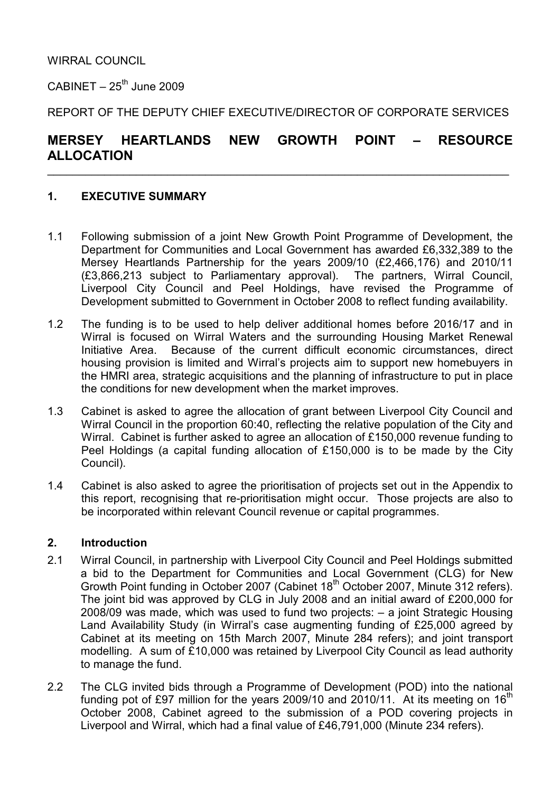$CABINET - 25<sup>th</sup>$  June 2009

REPORT OF THE DEPUTY CHIEF EXECUTIVE/DIRECTOR OF CORPORATE SERVICES

# MERSEY HEARTLANDS NEW GROWTH POINT – RESOURCE ALLOCATION

 $\_$  , and the contribution of the contribution of the contribution of the contribution of  $\mathcal{L}_\mathbf{z}$ 

## 1. EXECUTIVE SUMMARY

- 1.1 Following submission of a joint New Growth Point Programme of Development, the Department for Communities and Local Government has awarded £6,332,389 to the Mersey Heartlands Partnership for the years 2009/10 (£2,466,176) and 2010/11 (£3,866,213 subject to Parliamentary approval). The partners, Wirral Council, Liverpool City Council and Peel Holdings, have revised the Programme of Development submitted to Government in October 2008 to reflect funding availability.
- 1.2 The funding is to be used to help deliver additional homes before 2016/17 and in Wirral is focused on Wirral Waters and the surrounding Housing Market Renewal Initiative Area. Because of the current difficult economic circumstances, direct housing provision is limited and Wirral's projects aim to support new homebuyers in the HMRI area, strategic acquisitions and the planning of infrastructure to put in place the conditions for new development when the market improves.
- 1.3 Cabinet is asked to agree the allocation of grant between Liverpool City Council and Wirral Council in the proportion 60:40, reflecting the relative population of the City and Wirral. Cabinet is further asked to agree an allocation of £150,000 revenue funding to Peel Holdings (a capital funding allocation of £150,000 is to be made by the City Council).
- 1.4 Cabinet is also asked to agree the prioritisation of projects set out in the Appendix to this report, recognising that re-prioritisation might occur. Those projects are also to be incorporated within relevant Council revenue or capital programmes.

#### 2. Introduction

- 2.1 Wirral Council, in partnership with Liverpool City Council and Peel Holdings submitted a bid to the Department for Communities and Local Government (CLG) for New Growth Point funding in October 2007 (Cabinet 18<sup>th</sup> October 2007, Minute 312 refers). The joint bid was approved by CLG in July 2008 and an initial award of £200,000 for 2008/09 was made, which was used to fund two projects: – a joint Strategic Housing Land Availability Study (in Wirral's case augmenting funding of £25,000 agreed by Cabinet at its meeting on 15th March 2007, Minute 284 refers); and joint transport modelling. A sum of £10,000 was retained by Liverpool City Council as lead authority to manage the fund.
- 2.2 The CLG invited bids through a Programme of Development (POD) into the national funding pot of £97 million for the years 2009/10 and 2010/11. At its meeting on  $16<sup>th</sup>$ October 2008, Cabinet agreed to the submission of a POD covering projects in Liverpool and Wirral, which had a final value of £46,791,000 (Minute 234 refers).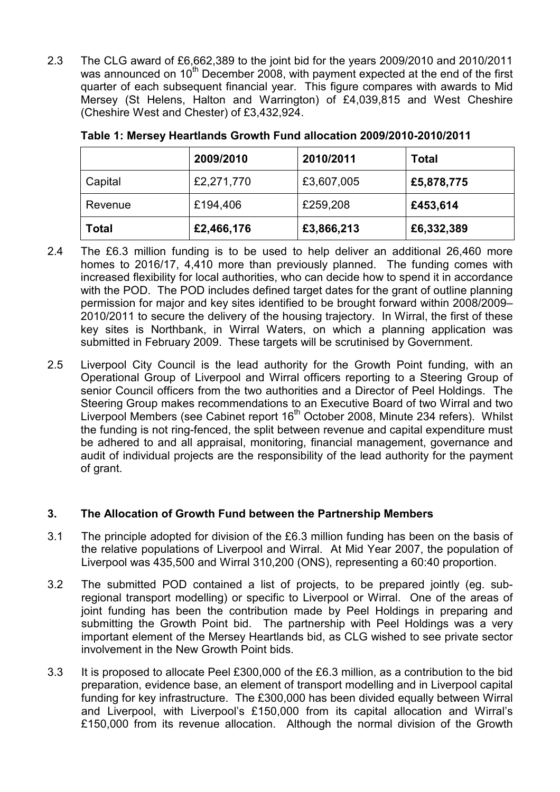2.3 The CLG award of £6,662,389 to the joint bid for the years 2009/2010 and 2010/2011 was announced on  $10<sup>th</sup>$  December 2008, with payment expected at the end of the first quarter of each subsequent financial year. This figure compares with awards to Mid Mersey (St Helens, Halton and Warrington) of £4,039,815 and West Cheshire (Cheshire West and Chester) of £3,432,924.

|              | 2009/2010  | 2010/2011  | <b>Total</b> |
|--------------|------------|------------|--------------|
| Capital      | £2,271,770 | £3,607,005 | £5,878,775   |
| Revenue      | £194,406   | £259,208   | £453,614     |
| <b>Total</b> | £2,466,176 | £3,866,213 | £6,332,389   |

| Table 1: Mersey Heartlands Growth Fund allocation 2009/2010-2010/2011 |
|-----------------------------------------------------------------------|
|-----------------------------------------------------------------------|

- 2.4 The £6.3 million funding is to be used to help deliver an additional 26,460 more homes to 2016/17, 4,410 more than previously planned. The funding comes with increased flexibility for local authorities, who can decide how to spend it in accordance with the POD. The POD includes defined target dates for the grant of outline planning permission for major and key sites identified to be brought forward within 2008/2009– 2010/2011 to secure the delivery of the housing trajectory. In Wirral, the first of these key sites is Northbank, in Wirral Waters, on which a planning application was submitted in February 2009. These targets will be scrutinised by Government.
- 2.5 Liverpool City Council is the lead authority for the Growth Point funding, with an Operational Group of Liverpool and Wirral officers reporting to a Steering Group of senior Council officers from the two authorities and a Director of Peel Holdings. The Steering Group makes recommendations to an Executive Board of two Wirral and two Liverpool Members (see Cabinet report 16<sup>th</sup> October 2008, Minute 234 refers). Whilst the funding is not ring-fenced, the split between revenue and capital expenditure must be adhered to and all appraisal, monitoring, financial management, governance and audit of individual projects are the responsibility of the lead authority for the payment of grant.

# 3. The Allocation of Growth Fund between the Partnership Members

- 3.1 The principle adopted for division of the £6.3 million funding has been on the basis of the relative populations of Liverpool and Wirral. At Mid Year 2007, the population of Liverpool was 435,500 and Wirral 310,200 (ONS), representing a 60:40 proportion.
- 3.2 The submitted POD contained a list of projects, to be prepared jointly (eg. subregional transport modelling) or specific to Liverpool or Wirral. One of the areas of joint funding has been the contribution made by Peel Holdings in preparing and submitting the Growth Point bid. The partnership with Peel Holdings was a very important element of the Mersey Heartlands bid, as CLG wished to see private sector involvement in the New Growth Point bids.
- 3.3 It is proposed to allocate Peel £300,000 of the £6.3 million, as a contribution to the bid preparation, evidence base, an element of transport modelling and in Liverpool capital funding for key infrastructure. The £300,000 has been divided equally between Wirral and Liverpool, with Liverpool's £150,000 from its capital allocation and Wirral's £150,000 from its revenue allocation. Although the normal division of the Growth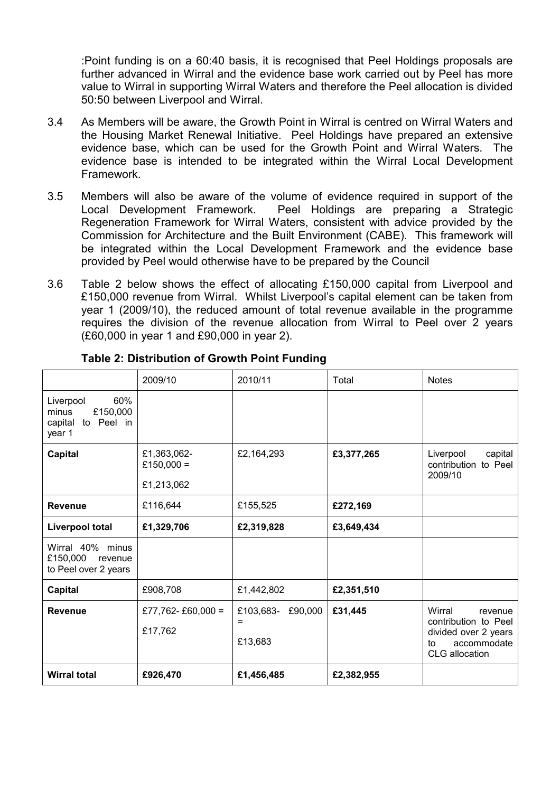:Point funding is on a 60:40 basis, it is recognised that Peel Holdings proposals are further advanced in Wirral and the evidence base work carried out by Peel has more value to Wirral in supporting Wirral Waters and therefore the Peel allocation is divided 50:50 between Liverpool and Wirral.

- 3.4 As Members will be aware, the Growth Point in Wirral is centred on Wirral Waters and the Housing Market Renewal Initiative. Peel Holdings have prepared an extensive evidence base, which can be used for the Growth Point and Wirral Waters. The evidence base is intended to be integrated within the Wirral Local Development Framework.
- 3.5 Members will also be aware of the volume of evidence required in support of the Local Development Framework. Peel Holdings are preparing a Strategic Regeneration Framework for Wirral Waters, consistent with advice provided by the Commission for Architecture and the Built Environment (CABE). This framework will be integrated within the Local Development Framework and the evidence base provided by Peel would otherwise have to be prepared by the Council
- 3.6 Table 2 below shows the effect of allocating £150,000 capital from Liverpool and £150,000 revenue from Wirral. Whilst Liverpool's capital element can be taken from year 1 (2009/10), the reduced amount of total revenue available in the programme requires the division of the revenue allocation from Wirral to Peel over 2 years (£60,000 in year 1 and £90,000 in year 2).

|                                                                             | 2009/10                                 | 2010/11                                     | Total      | <b>Notes</b>                                                                                             |  |
|-----------------------------------------------------------------------------|-----------------------------------------|---------------------------------------------|------------|----------------------------------------------------------------------------------------------------------|--|
| 60%<br>Liverpool<br>£150,000<br>minus<br>Peel in<br>capital<br>to<br>year 1 |                                         |                                             |            |                                                                                                          |  |
| <b>Capital</b>                                                              | £1,363,062-<br>£150,000 =<br>£1,213,062 | £2,164,293                                  | £3,377,265 | Liverpool<br>capital<br>contribution to Peel<br>2009/10                                                  |  |
| <b>Revenue</b>                                                              | £116,644                                | £155,525                                    | £272,169   |                                                                                                          |  |
| <b>Liverpool total</b>                                                      | £1,329,706                              | £2,319,828                                  | £3,649,434 |                                                                                                          |  |
| Wirral 40% minus<br>£150,000<br>revenue<br>to Peel over 2 years             |                                         |                                             |            |                                                                                                          |  |
| <b>Capital</b>                                                              | £908,708                                | £1,442,802                                  | £2,351,510 |                                                                                                          |  |
| <b>Revenue</b>                                                              | £77,762-£60,000 =<br>£17,762            | £103,683-<br>£90,000<br>$\equiv$<br>£13,683 | £31,445    | Wirral<br>revenue<br>contribution to Peel<br>divided over 2 years<br>accommodate<br>to<br>CLG allocation |  |
| <b>Wirral total</b>                                                         | £926,470                                | £1,456,485                                  | £2,382,955 |                                                                                                          |  |

#### Table 2: Distribution of Growth Point Funding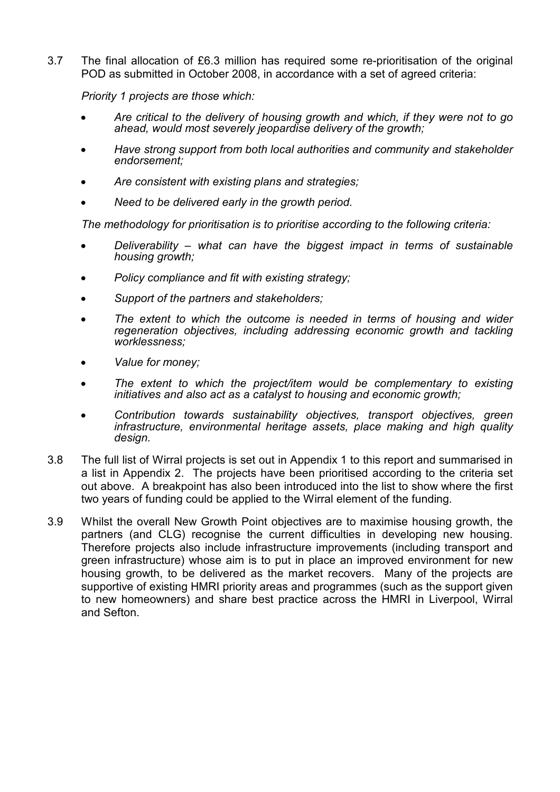3.7 The final allocation of £6.3 million has required some re-prioritisation of the original POD as submitted in October 2008, in accordance with a set of agreed criteria:

Priority 1 projects are those which:

- Are critical to the delivery of housing growth and which, if they were not to go ahead, would most severely jeopardise delivery of the growth;
- Have strong support from both local authorities and community and stakeholder endorsement;
- Are consistent with existing plans and strategies;
- Need to be delivered early in the growth period.

The methodology for prioritisation is to prioritise according to the following criteria:

- Deliverability what can have the biggest impact in terms of sustainable housing growth;
- Policy compliance and fit with existing strategy;
- Support of the partners and stakeholders;
- The extent to which the outcome is needed in terms of housing and wider regeneration objectives, including addressing economic growth and tackling worklessness;
- Value for money;
- The extent to which the project/item would be complementary to existing initiatives and also act as a catalyst to housing and economic growth;
- Contribution towards sustainability objectives, transport objectives, green infrastructure, environmental heritage assets, place making and high quality design.
- 3.8 The full list of Wirral projects is set out in Appendix 1 to this report and summarised in a list in Appendix 2. The projects have been prioritised according to the criteria set out above. A breakpoint has also been introduced into the list to show where the first two years of funding could be applied to the Wirral element of the funding.
- 3.9 Whilst the overall New Growth Point objectives are to maximise housing growth, the partners (and CLG) recognise the current difficulties in developing new housing. Therefore projects also include infrastructure improvements (including transport and green infrastructure) whose aim is to put in place an improved environment for new housing growth, to be delivered as the market recovers. Many of the projects are supportive of existing HMRI priority areas and programmes (such as the support given to new homeowners) and share best practice across the HMRI in Liverpool, Wirral and Sefton.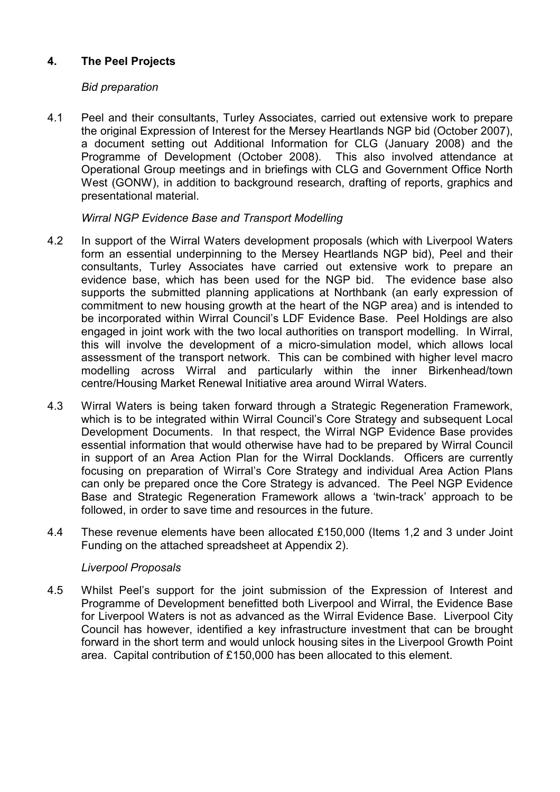# 4. The Peel Projects

#### Bid preparation

4.1 Peel and their consultants, Turley Associates, carried out extensive work to prepare the original Expression of Interest for the Mersey Heartlands NGP bid (October 2007), a document setting out Additional Information for CLG (January 2008) and the Programme of Development (October 2008). This also involved attendance at Operational Group meetings and in briefings with CLG and Government Office North West (GONW), in addition to background research, drafting of reports, graphics and presentational material.

#### Wirral NGP Evidence Base and Transport Modelling

- 4.2 In support of the Wirral Waters development proposals (which with Liverpool Waters form an essential underpinning to the Mersey Heartlands NGP bid), Peel and their consultants, Turley Associates have carried out extensive work to prepare an evidence base, which has been used for the NGP bid. The evidence base also supports the submitted planning applications at Northbank (an early expression of commitment to new housing growth at the heart of the NGP area) and is intended to be incorporated within Wirral Council's LDF Evidence Base. Peel Holdings are also engaged in joint work with the two local authorities on transport modelling. In Wirral, this will involve the development of a micro-simulation model, which allows local assessment of the transport network. This can be combined with higher level macro modelling across Wirral and particularly within the inner Birkenhead/town centre/Housing Market Renewal Initiative area around Wirral Waters.
- 4.3 Wirral Waters is being taken forward through a Strategic Regeneration Framework, which is to be integrated within Wirral Council's Core Strategy and subsequent Local Development Documents. In that respect, the Wirral NGP Evidence Base provides essential information that would otherwise have had to be prepared by Wirral Council in support of an Area Action Plan for the Wirral Docklands. Officers are currently focusing on preparation of Wirral's Core Strategy and individual Area Action Plans can only be prepared once the Core Strategy is advanced. The Peel NGP Evidence Base and Strategic Regeneration Framework allows a 'twin-track' approach to be followed, in order to save time and resources in the future.
- 4.4 These revenue elements have been allocated £150,000 (Items 1,2 and 3 under Joint Funding on the attached spreadsheet at Appendix 2).

#### Liverpool Proposals

4.5 Whilst Peel's support for the joint submission of the Expression of Interest and Programme of Development benefitted both Liverpool and Wirral, the Evidence Base for Liverpool Waters is not as advanced as the Wirral Evidence Base. Liverpool City Council has however, identified a key infrastructure investment that can be brought forward in the short term and would unlock housing sites in the Liverpool Growth Point area. Capital contribution of £150,000 has been allocated to this element.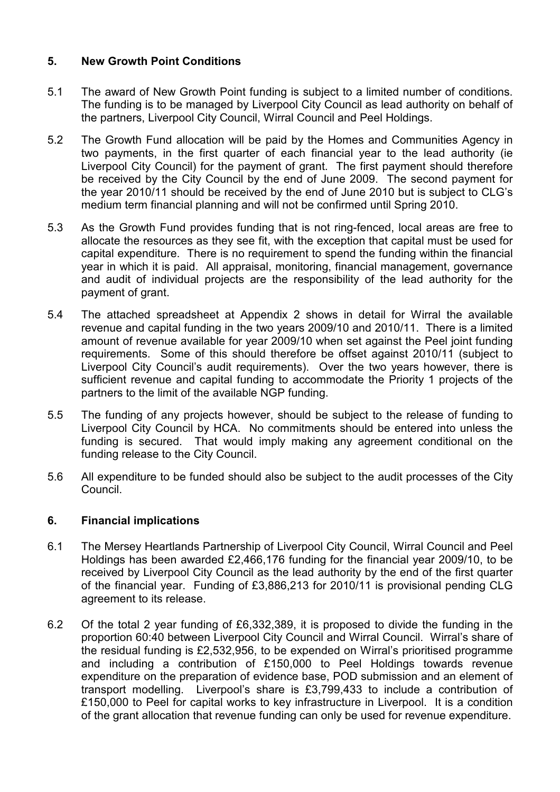# 5. New Growth Point Conditions

- 5.1 The award of New Growth Point funding is subject to a limited number of conditions. The funding is to be managed by Liverpool City Council as lead authority on behalf of the partners, Liverpool City Council, Wirral Council and Peel Holdings.
- 5.2 The Growth Fund allocation will be paid by the Homes and Communities Agency in two payments, in the first quarter of each financial year to the lead authority (ie Liverpool City Council) for the payment of grant. The first payment should therefore be received by the City Council by the end of June 2009. The second payment for the year 2010/11 should be received by the end of June 2010 but is subject to CLG's medium term financial planning and will not be confirmed until Spring 2010.
- 5.3 As the Growth Fund provides funding that is not ring-fenced, local areas are free to allocate the resources as they see fit, with the exception that capital must be used for capital expenditure. There is no requirement to spend the funding within the financial year in which it is paid. All appraisal, monitoring, financial management, governance and audit of individual projects are the responsibility of the lead authority for the payment of grant.
- 5.4 The attached spreadsheet at Appendix 2 shows in detail for Wirral the available revenue and capital funding in the two years 2009/10 and 2010/11. There is a limited amount of revenue available for year 2009/10 when set against the Peel joint funding requirements. Some of this should therefore be offset against 2010/11 (subject to Liverpool City Council's audit requirements). Over the two years however, there is sufficient revenue and capital funding to accommodate the Priority 1 projects of the partners to the limit of the available NGP funding.
- 5.5 The funding of any projects however, should be subject to the release of funding to Liverpool City Council by HCA. No commitments should be entered into unless the funding is secured. That would imply making any agreement conditional on the funding release to the City Council.
- 5.6 All expenditure to be funded should also be subject to the audit processes of the City Council.

#### 6. Financial implications

- 6.1 The Mersey Heartlands Partnership of Liverpool City Council, Wirral Council and Peel Holdings has been awarded £2,466,176 funding for the financial year 2009/10, to be received by Liverpool City Council as the lead authority by the end of the first quarter of the financial year. Funding of £3,886,213 for 2010/11 is provisional pending CLG agreement to its release.
- 6.2 Of the total 2 year funding of £6,332,389, it is proposed to divide the funding in the proportion 60:40 between Liverpool City Council and Wirral Council. Wirral's share of the residual funding is £2,532,956, to be expended on Wirral's prioritised programme and including a contribution of £150,000 to Peel Holdings towards revenue expenditure on the preparation of evidence base, POD submission and an element of transport modelling. Liverpool's share is £3,799,433 to include a contribution of £150,000 to Peel for capital works to key infrastructure in Liverpool. It is a condition of the grant allocation that revenue funding can only be used for revenue expenditure.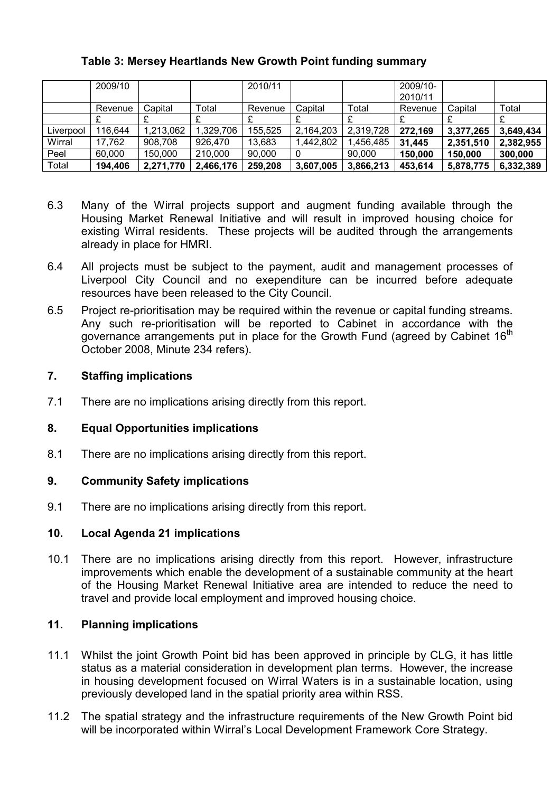# Table 3: Mersey Heartlands New Growth Point funding summary

|           | 2009/10 |           |           | 2010/11 |           |           | 2009/10- |           |           |
|-----------|---------|-----------|-----------|---------|-----------|-----------|----------|-----------|-----------|
|           |         |           |           |         |           |           | 2010/11  |           |           |
|           | Revenue | Capital   | Total     | Revenue | Capital   | Total     | Revenue  | Capital   | Total     |
|           |         |           |           |         |           |           |          |           |           |
| Liverpool | 116,644 | 1,213,062 | 1,329,706 | 155,525 | 2,164,203 | 2,319,728 | 272,169  | 3,377,265 | 3,649,434 |
| Wirral    | 17,762  | 908,708   | 926,470   | 13,683  | 1,442,802 | ,456,485  | 31,445   | 2,351,510 | 2,382,955 |
| Peel      | 60,000  | 150,000   | 210,000   | 90,000  |           | 90.000    | 150,000  | 150,000   | 300,000   |
| Total     | 194,406 | 2,271,770 | 2,466,176 | 259,208 | 3,607,005 | 3,866,213 | 453,614  | 5,878,775 | 6,332,389 |

- 6.3 Many of the Wirral projects support and augment funding available through the Housing Market Renewal Initiative and will result in improved housing choice for existing Wirral residents. These projects will be audited through the arrangements already in place for HMRI.
- 6.4 All projects must be subject to the payment, audit and management processes of Liverpool City Council and no exependiture can be incurred before adequate resources have been released to the City Council.
- 6.5 Project re-prioritisation may be required within the revenue or capital funding streams. Any such re-prioritisation will be reported to Cabinet in accordance with the governance arrangements put in place for the Growth Fund (agreed by Cabinet 16<sup>th</sup>) October 2008, Minute 234 refers).

### 7. Staffing implications

7.1 There are no implications arising directly from this report.

#### 8. Equal Opportunities implications

8.1 There are no implications arising directly from this report.

#### 9. Community Safety implications

9.1 There are no implications arising directly from this report.

#### 10. Local Agenda 21 implications

10.1 There are no implications arising directly from this report. However, infrastructure improvements which enable the development of a sustainable community at the heart of the Housing Market Renewal Initiative area are intended to reduce the need to travel and provide local employment and improved housing choice.

# 11. Planning implications

- 11.1 Whilst the joint Growth Point bid has been approved in principle by CLG, it has little status as a material consideration in development plan terms. However, the increase in housing development focused on Wirral Waters is in a sustainable location, using previously developed land in the spatial priority area within RSS.
- 11.2 The spatial strategy and the infrastructure requirements of the New Growth Point bid will be incorporated within Wirral's Local Development Framework Core Strategy.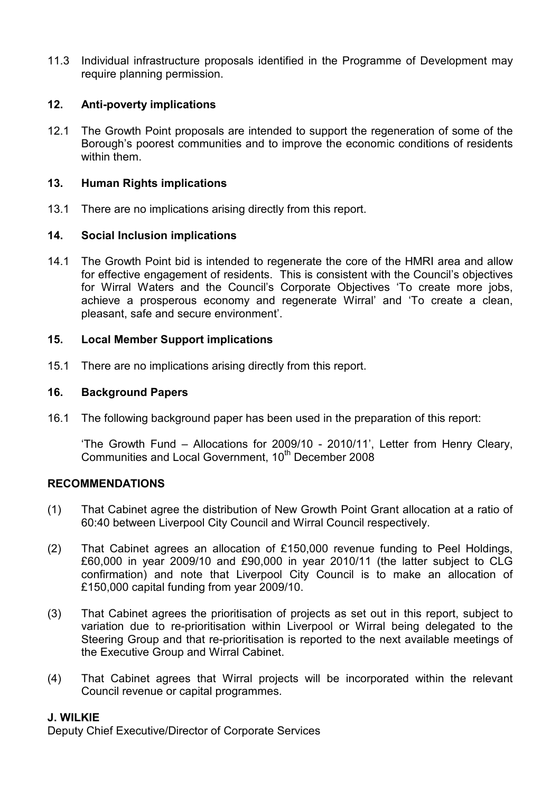11.3 Individual infrastructure proposals identified in the Programme of Development may require planning permission.

### 12. Anti-poverty implications

12.1 The Growth Point proposals are intended to support the regeneration of some of the Borough's poorest communities and to improve the economic conditions of residents within them.

#### 13. Human Rights implications

13.1 There are no implications arising directly from this report.

#### 14. Social Inclusion implications

14.1 The Growth Point bid is intended to regenerate the core of the HMRI area and allow for effective engagement of residents. This is consistent with the Council's objectives for Wirral Waters and the Council's Corporate Objectives 'To create more jobs, achieve a prosperous economy and regenerate Wirral' and 'To create a clean, pleasant, safe and secure environment'.

#### 15. Local Member Support implications

15.1 There are no implications arising directly from this report.

#### 16. Background Papers

16.1 The following background paper has been used in the preparation of this report:

 'The Growth Fund – Allocations for 2009/10 - 2010/11', Letter from Henry Cleary, Communities and Local Government, 10<sup>th</sup> December 2008

#### RECOMMENDATIONS

- (1) That Cabinet agree the distribution of New Growth Point Grant allocation at a ratio of 60:40 between Liverpool City Council and Wirral Council respectively.
- (2) That Cabinet agrees an allocation of £150,000 revenue funding to Peel Holdings, £60,000 in year 2009/10 and £90,000 in year 2010/11 (the latter subject to CLG confirmation) and note that Liverpool City Council is to make an allocation of £150,000 capital funding from year 2009/10.
- (3) That Cabinet agrees the prioritisation of projects as set out in this report, subject to variation due to re-prioritisation within Liverpool or Wirral being delegated to the Steering Group and that re-prioritisation is reported to the next available meetings of the Executive Group and Wirral Cabinet.
- (4) That Cabinet agrees that Wirral projects will be incorporated within the relevant Council revenue or capital programmes.

#### J. WILKIE

Deputy Chief Executive/Director of Corporate Services